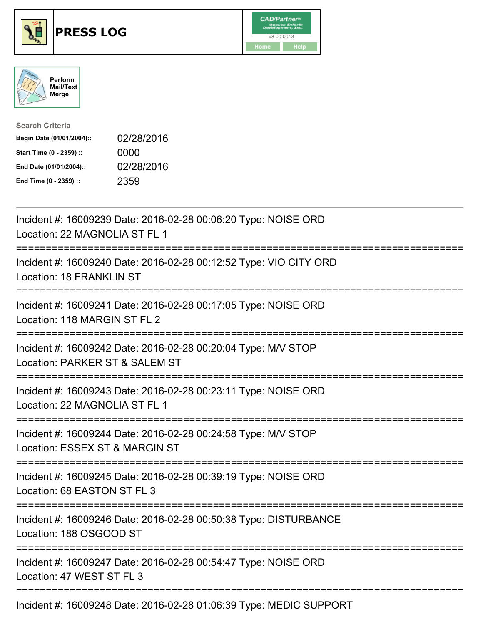





| <b>Search Criteria</b>    |            |
|---------------------------|------------|
| Begin Date (01/01/2004):: | 02/28/2016 |
| Start Time (0 - 2359) ::  | 0000       |
| End Date (01/01/2004)::   | 02/28/2016 |
| End Time (0 - 2359) ::    | 2359       |

| Incident #: 16009239 Date: 2016-02-28 00:06:20 Type: NOISE ORD<br>Location: 22 MAGNOLIA ST FL 1                        |
|------------------------------------------------------------------------------------------------------------------------|
| Incident #: 16009240 Date: 2016-02-28 00:12:52 Type: VIO CITY ORD<br>Location: 18 FRANKLIN ST                          |
| Incident #: 16009241 Date: 2016-02-28 00:17:05 Type: NOISE ORD<br>Location: 118 MARGIN ST FL 2<br>:============        |
| Incident #: 16009242 Date: 2016-02-28 00:20:04 Type: M/V STOP<br>Location: PARKER ST & SALEM ST<br>==================  |
| Incident #: 16009243 Date: 2016-02-28 00:23:11 Type: NOISE ORD<br>Location: 22 MAGNOLIA ST FL 1<br>------------------- |
| Incident #: 16009244 Date: 2016-02-28 00:24:58 Type: M/V STOP<br>Location: ESSEX ST & MARGIN ST                        |
| Incident #: 16009245 Date: 2016-02-28 00:39:19 Type: NOISE ORD<br>Location: 68 EASTON ST FL 3                          |
| Incident #: 16009246 Date: 2016-02-28 00:50:38 Type: DISTURBANCE<br>Location: 188 OSGOOD ST                            |
| Incident #: 16009247 Date: 2016-02-28 00:54:47 Type: NOISE ORD<br>Location: 47 WEST ST FL 3                            |
| Incident #: 16009248 Date: 2016-02-28 01:06:39 Type: MEDIC SUPPORT                                                     |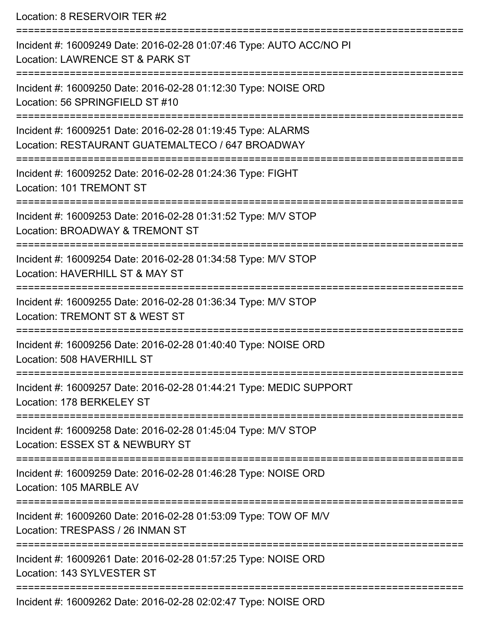Location: 8 RESERVOIR TER #2 =========================================================================== Incident #: 16009249 Date: 2016-02-28 01:07:46 Type: AUTO ACC/NO PI Location: LAWRENCE ST & PARK ST =========================================================================== Incident #: 16009250 Date: 2016-02-28 01:12:30 Type: NOISE ORD Location: 56 SPRINGFIELD ST #10 =========================================================================== Incident #: 16009251 Date: 2016-02-28 01:19:45 Type: ALARMS Location: RESTAURANT GUATEMALTECO / 647 BROADWAY =========================================================================== Incident #: 16009252 Date: 2016-02-28 01:24:36 Type: FIGHT Location: 101 TREMONT ST =========================================================================== Incident #: 16009253 Date: 2016-02-28 01:31:52 Type: M/V STOP Location: BROADWAY & TREMONT ST =========================================================================== Incident #: 16009254 Date: 2016-02-28 01:34:58 Type: M/V STOP Location: HAVERHILL ST & MAY ST =========================================================================== Incident #: 16009255 Date: 2016-02-28 01:36:34 Type: M/V STOP Location: TREMONT ST & WEST ST =========================================================================== Incident #: 16009256 Date: 2016-02-28 01:40:40 Type: NOISE ORD Location: 508 HAVERHILL ST =========================================================================== Incident #: 16009257 Date: 2016-02-28 01:44:21 Type: MEDIC SUPPORT Location: 178 BERKELEY ST =========================================================================== Incident #: 16009258 Date: 2016-02-28 01:45:04 Type: M/V STOP Location: ESSEX ST & NEWBURY ST =========================================================================== Incident #: 16009259 Date: 2016-02-28 01:46:28 Type: NOISE ORD Location: 105 MARBLE AV =========================================================================== Incident #: 16009260 Date: 2016-02-28 01:53:09 Type: TOW OF M/V Location: TRESPASS / 26 INMAN ST =========================================================================== Incident #: 16009261 Date: 2016-02-28 01:57:25 Type: NOISE ORD Location: 143 SYLVESTER ST ===========================================================================

Incident #: 16009262 Date: 2016-02-28 02:02:47 Type: NOISE ORD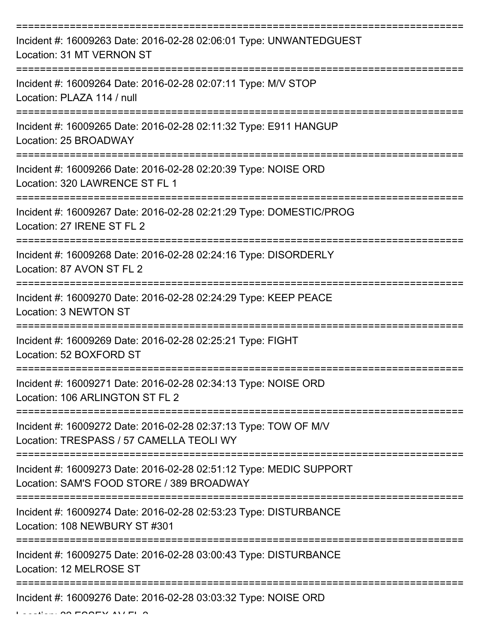| Incident #: 16009263 Date: 2016-02-28 02:06:01 Type: UNWANTEDGUEST<br>Location: 31 MT VERNON ST                 |
|-----------------------------------------------------------------------------------------------------------------|
| Incident #: 16009264 Date: 2016-02-28 02:07:11 Type: M/V STOP<br>Location: PLAZA 114 / null                     |
| Incident #: 16009265 Date: 2016-02-28 02:11:32 Type: E911 HANGUP<br>Location: 25 BROADWAY                       |
| Incident #: 16009266 Date: 2016-02-28 02:20:39 Type: NOISE ORD<br>Location: 320 LAWRENCE ST FL 1                |
| Incident #: 16009267 Date: 2016-02-28 02:21:29 Type: DOMESTIC/PROG<br>Location: 27 IRENE ST FL 2                |
| Incident #: 16009268 Date: 2016-02-28 02:24:16 Type: DISORDERLY<br>Location: 87 AVON ST FL 2                    |
| Incident #: 16009270 Date: 2016-02-28 02:24:29 Type: KEEP PEACE<br><b>Location: 3 NEWTON ST</b>                 |
| Incident #: 16009269 Date: 2016-02-28 02:25:21 Type: FIGHT<br>Location: 52 BOXFORD ST                           |
| Incident #: 16009271 Date: 2016-02-28 02:34:13 Type: NOISE ORD<br>Location: 106 ARLINGTON ST FL 2               |
| Incident #: 16009272 Date: 2016-02-28 02:37:13 Type: TOW OF M/V<br>Location: TRESPASS / 57 CAMELLA TEOLI WY     |
| Incident #: 16009273 Date: 2016-02-28 02:51:12 Type: MEDIC SUPPORT<br>Location: SAM'S FOOD STORE / 389 BROADWAY |
| Incident #: 16009274 Date: 2016-02-28 02:53:23 Type: DISTURBANCE<br>Location: 108 NEWBURY ST #301               |
| Incident #: 16009275 Date: 2016-02-28 03:00:43 Type: DISTURBANCE<br>Location: 12 MELROSE ST                     |
| Incident #: 16009276 Date: 2016-02-28 03:03:32 Type: NOISE ORD                                                  |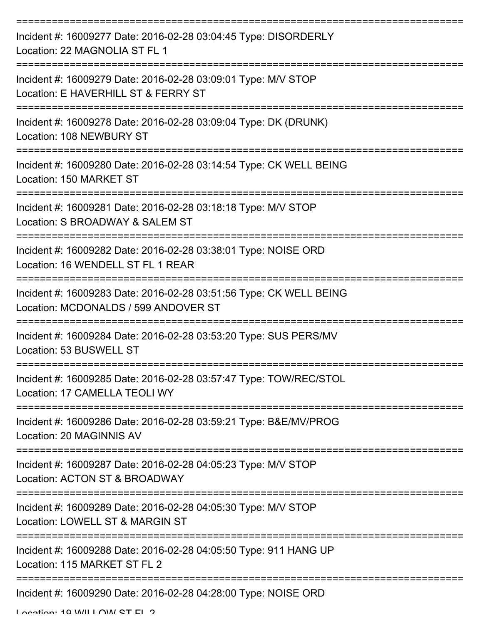| Incident #: 16009277 Date: 2016-02-28 03:04:45 Type: DISORDERLY<br>Location: 22 MAGNOLIA ST FL 1           |
|------------------------------------------------------------------------------------------------------------|
| Incident #: 16009279 Date: 2016-02-28 03:09:01 Type: M/V STOP<br>Location: E HAVERHILL ST & FERRY ST       |
| Incident #: 16009278 Date: 2016-02-28 03:09:04 Type: DK (DRUNK)<br>Location: 108 NEWBURY ST                |
| Incident #: 16009280 Date: 2016-02-28 03:14:54 Type: CK WELL BEING<br>Location: 150 MARKET ST              |
| Incident #: 16009281 Date: 2016-02-28 03:18:18 Type: M/V STOP<br>Location: S BROADWAY & SALEM ST           |
| Incident #: 16009282 Date: 2016-02-28 03:38:01 Type: NOISE ORD<br>Location: 16 WENDELL ST FL 1 REAR        |
| Incident #: 16009283 Date: 2016-02-28 03:51:56 Type: CK WELL BEING<br>Location: MCDONALDS / 599 ANDOVER ST |
| Incident #: 16009284 Date: 2016-02-28 03:53:20 Type: SUS PERS/MV<br>Location: 53 BUSWELL ST                |
| Incident #: 16009285 Date: 2016-02-28 03:57:47 Type: TOW/REC/STOL<br>Location: 17 CAMELLA TEOLI WY         |
| Incident #: 16009286 Date: 2016-02-28 03:59:21 Type: B&E/MV/PROG<br>Location: 20 MAGINNIS AV               |
| Incident #: 16009287 Date: 2016-02-28 04:05:23 Type: M/V STOP<br>Location: ACTON ST & BROADWAY             |
| Incident #: 16009289 Date: 2016-02-28 04:05:30 Type: M/V STOP<br>Location: LOWELL ST & MARGIN ST           |
| Incident #: 16009288 Date: 2016-02-28 04:05:50 Type: 911 HANG UP<br>Location: 115 MARKET ST FL 2           |
| Incident #: 16009290 Date: 2016-02-28 04:28:00 Type: NOISE ORD                                             |

Location: 10 WILLOW ST EL 2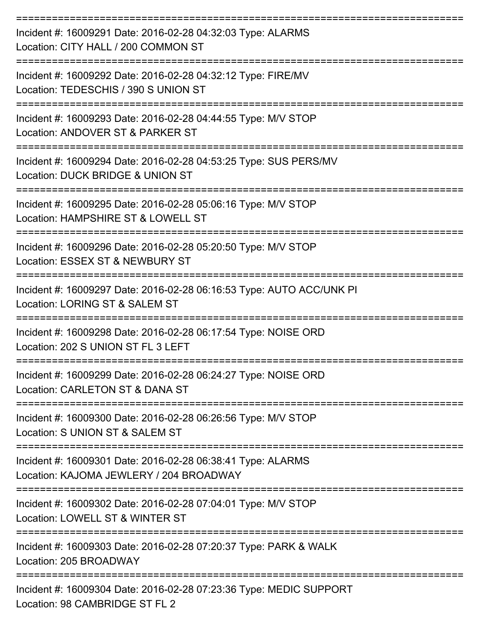| Incident #: 16009291 Date: 2016-02-28 04:32:03 Type: ALARMS<br>Location: CITY HALL / 200 COMMON ST     |
|--------------------------------------------------------------------------------------------------------|
| Incident #: 16009292 Date: 2016-02-28 04:32:12 Type: FIRE/MV<br>Location: TEDESCHIS / 390 S UNION ST   |
| Incident #: 16009293 Date: 2016-02-28 04:44:55 Type: M/V STOP<br>Location: ANDOVER ST & PARKER ST      |
| Incident #: 16009294 Date: 2016-02-28 04:53:25 Type: SUS PERS/MV<br>Location: DUCK BRIDGE & UNION ST   |
| Incident #: 16009295 Date: 2016-02-28 05:06:16 Type: M/V STOP<br>Location: HAMPSHIRE ST & LOWELL ST    |
| Incident #: 16009296 Date: 2016-02-28 05:20:50 Type: M/V STOP<br>Location: ESSEX ST & NEWBURY ST       |
| Incident #: 16009297 Date: 2016-02-28 06:16:53 Type: AUTO ACC/UNK PI<br>Location: LORING ST & SALEM ST |
| Incident #: 16009298 Date: 2016-02-28 06:17:54 Type: NOISE ORD<br>Location: 202 S UNION ST FL 3 LEFT   |
| Incident #: 16009299 Date: 2016-02-28 06:24:27 Type: NOISE ORD<br>Location: CARLETON ST & DANA ST      |
| Incident #: 16009300 Date: 2016-02-28 06:26:56 Type: M/V STOP<br>Location: S UNION ST & SALEM ST       |
| Incident #: 16009301 Date: 2016-02-28 06:38:41 Type: ALARMS<br>Location: KAJOMA JEWLERY / 204 BROADWAY |
| Incident #: 16009302 Date: 2016-02-28 07:04:01 Type: M/V STOP<br>Location: LOWELL ST & WINTER ST       |
| Incident #: 16009303 Date: 2016-02-28 07:20:37 Type: PARK & WALK<br>Location: 205 BROADWAY             |
| Incident #: 16009304 Date: 2016-02-28 07:23:36 Type: MEDIC SUPPORT<br>Location: 98 CAMBRIDGE ST FL 2   |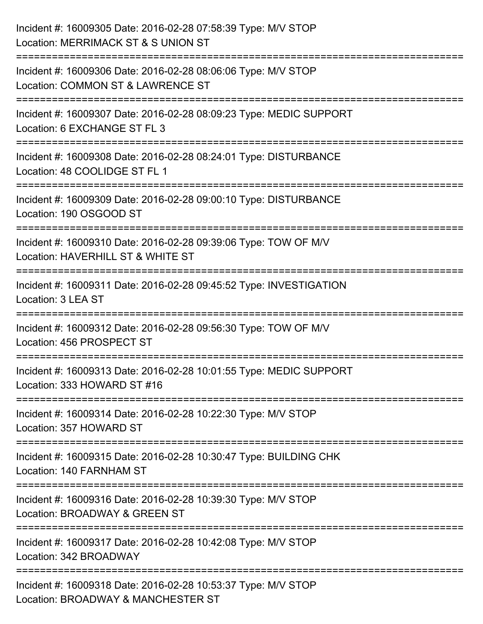| Incident #: 16009305 Date: 2016-02-28 07:58:39 Type: M/V STOP<br>Location: MERRIMACK ST & S UNION ST                                      |
|-------------------------------------------------------------------------------------------------------------------------------------------|
| Incident #: 16009306 Date: 2016-02-28 08:06:06 Type: M/V STOP<br>Location: COMMON ST & LAWRENCE ST                                        |
| Incident #: 16009307 Date: 2016-02-28 08:09:23 Type: MEDIC SUPPORT<br>Location: 6 EXCHANGE ST FL 3<br>;================================== |
| Incident #: 16009308 Date: 2016-02-28 08:24:01 Type: DISTURBANCE<br>Location: 48 COOLIDGE ST FL 1                                         |
| Incident #: 16009309 Date: 2016-02-28 09:00:10 Type: DISTURBANCE<br>Location: 190 OSGOOD ST                                               |
| Incident #: 16009310 Date: 2016-02-28 09:39:06 Type: TOW OF M/V<br>Location: HAVERHILL ST & WHITE ST<br>:=========================        |
| Incident #: 16009311 Date: 2016-02-28 09:45:52 Type: INVESTIGATION<br>Location: 3 LEA ST                                                  |
| Incident #: 16009312 Date: 2016-02-28 09:56:30 Type: TOW OF M/V<br>Location: 456 PROSPECT ST                                              |
| Incident #: 16009313 Date: 2016-02-28 10:01:55 Type: MEDIC SUPPORT<br>Location: 333 HOWARD ST #16                                         |
| Incident #: 16009314 Date: 2016-02-28 10:22:30 Type: M/V STOP<br>Location: 357 HOWARD ST                                                  |
| Incident #: 16009315 Date: 2016-02-28 10:30:47 Type: BUILDING CHK<br>Location: 140 FARNHAM ST                                             |
| Incident #: 16009316 Date: 2016-02-28 10:39:30 Type: M/V STOP<br>Location: BROADWAY & GREEN ST                                            |
| Incident #: 16009317 Date: 2016-02-28 10:42:08 Type: M/V STOP<br>Location: 342 BROADWAY                                                   |
| Incident #: 16009318 Date: 2016-02-28 10:53:37 Type: M/V STOP<br>Location: BROADWAY & MANCHESTER ST                                       |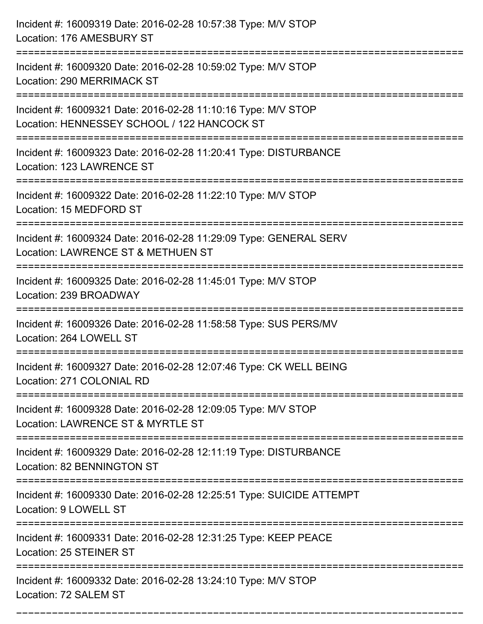| Incident #: 16009319 Date: 2016-02-28 10:57:38 Type: M/V STOP<br>Location: 176 AMESBURY ST                   |
|--------------------------------------------------------------------------------------------------------------|
| Incident #: 16009320 Date: 2016-02-28 10:59:02 Type: M/V STOP<br>Location: 290 MERRIMACK ST                  |
| Incident #: 16009321 Date: 2016-02-28 11:10:16 Type: M/V STOP<br>Location: HENNESSEY SCHOOL / 122 HANCOCK ST |
| Incident #: 16009323 Date: 2016-02-28 11:20:41 Type: DISTURBANCE<br>Location: 123 LAWRENCE ST                |
| Incident #: 16009322 Date: 2016-02-28 11:22:10 Type: M/V STOP<br>Location: 15 MEDFORD ST                     |
| Incident #: 16009324 Date: 2016-02-28 11:29:09 Type: GENERAL SERV<br>Location: LAWRENCE ST & METHUEN ST      |
| Incident #: 16009325 Date: 2016-02-28 11:45:01 Type: M/V STOP<br>Location: 239 BROADWAY                      |
| Incident #: 16009326 Date: 2016-02-28 11:58:58 Type: SUS PERS/MV<br>Location: 264 LOWELL ST                  |
| Incident #: 16009327 Date: 2016-02-28 12:07:46 Type: CK WELL BEING<br>Location: 271 COLONIAL RD              |
| Incident #: 16009328 Date: 2016-02-28 12:09:05 Type: M/V STOP<br>Location: LAWRENCE ST & MYRTLE ST           |
| Incident #: 16009329 Date: 2016-02-28 12:11:19 Type: DISTURBANCE<br>Location: 82 BENNINGTON ST               |
| Incident #: 16009330 Date: 2016-02-28 12:25:51 Type: SUICIDE ATTEMPT<br>Location: 9 LOWELL ST                |
| Incident #: 16009331 Date: 2016-02-28 12:31:25 Type: KEEP PEACE<br>Location: 25 STEINER ST                   |
| Incident #: 16009332 Date: 2016-02-28 13:24:10 Type: M/V STOP<br>Location: 72 SALEM ST                       |

===========================================================================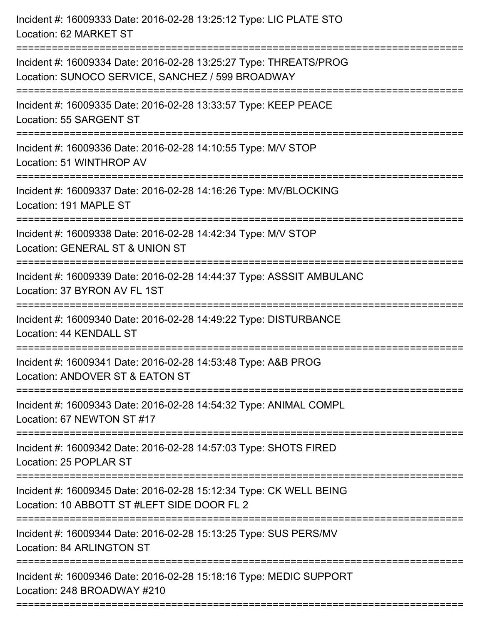| Incident #: 16009333 Date: 2016-02-28 13:25:12 Type: LIC PLATE STO<br>Location: 62 MARKET ST                           |
|------------------------------------------------------------------------------------------------------------------------|
| Incident #: 16009334 Date: 2016-02-28 13:25:27 Type: THREATS/PROG<br>Location: SUNOCO SERVICE, SANCHEZ / 599 BROADWAY  |
| Incident #: 16009335 Date: 2016-02-28 13:33:57 Type: KEEP PEACE<br>Location: 55 SARGENT ST<br>======================== |
| Incident #: 16009336 Date: 2016-02-28 14:10:55 Type: M/V STOP<br>Location: 51 WINTHROP AV                              |
| Incident #: 16009337 Date: 2016-02-28 14:16:26 Type: MV/BLOCKING<br>Location: 191 MAPLE ST                             |
| Incident #: 16009338 Date: 2016-02-28 14:42:34 Type: M/V STOP<br>Location: GENERAL ST & UNION ST                       |
| Incident #: 16009339 Date: 2016-02-28 14:44:37 Type: ASSSIT AMBULANC<br>Location: 37 BYRON AV FL 1ST<br>============== |
| Incident #: 16009340 Date: 2016-02-28 14:49:22 Type: DISTURBANCE<br>Location: 44 KENDALL ST                            |
| Incident #: 16009341 Date: 2016-02-28 14:53:48 Type: A&B PROG<br>Location: ANDOVER ST & EATON ST                       |
| Incident #: 16009343 Date: 2016-02-28 14:54:32 Type: ANIMAL COMPL<br>Location: 67 NEWTON ST #17                        |
| Incident #: 16009342 Date: 2016-02-28 14:57:03 Type: SHOTS FIRED<br>Location: 25 POPLAR ST                             |
| Incident #: 16009345 Date: 2016-02-28 15:12:34 Type: CK WELL BEING<br>Location: 10 ABBOTT ST #LEFT SIDE DOOR FL 2      |
| Incident #: 16009344 Date: 2016-02-28 15:13:25 Type: SUS PERS/MV<br>Location: 84 ARLINGTON ST                          |
| Incident #: 16009346 Date: 2016-02-28 15:18:16 Type: MEDIC SUPPORT<br>Location: 248 BROADWAY #210                      |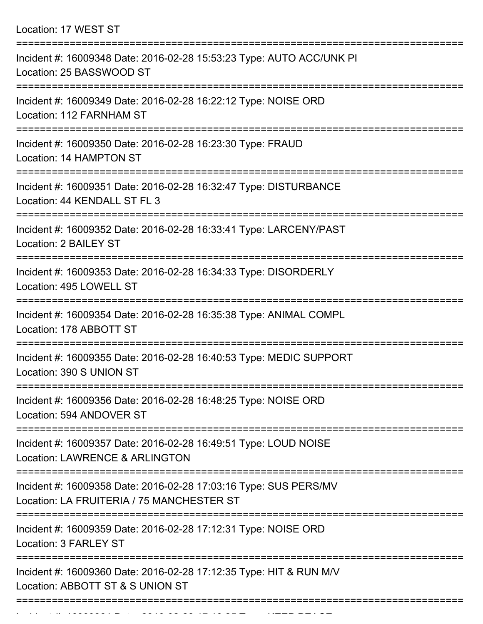Location: 17 WEST ST

| Incident #: 16009348 Date: 2016-02-28 15:53:23 Type: AUTO ACC/UNK PI<br>Location: 25 BASSWOOD ST                                 |
|----------------------------------------------------------------------------------------------------------------------------------|
| Incident #: 16009349 Date: 2016-02-28 16:22:12 Type: NOISE ORD<br>Location: 112 FARNHAM ST                                       |
| Incident #: 16009350 Date: 2016-02-28 16:23:30 Type: FRAUD<br>Location: 14 HAMPTON ST                                            |
| Incident #: 16009351 Date: 2016-02-28 16:32:47 Type: DISTURBANCE<br>Location: 44 KENDALL ST FL 3                                 |
| Incident #: 16009352 Date: 2016-02-28 16:33:41 Type: LARCENY/PAST<br><b>Location: 2 BAILEY ST</b>                                |
| Incident #: 16009353 Date: 2016-02-28 16:34:33 Type: DISORDERLY<br>Location: 495 LOWELL ST                                       |
| Incident #: 16009354 Date: 2016-02-28 16:35:38 Type: ANIMAL COMPL<br>Location: 178 ABBOTT ST                                     |
| Incident #: 16009355 Date: 2016-02-28 16:40:53 Type: MEDIC SUPPORT<br>Location: 390 S UNION ST                                   |
| ===============<br>Incident #: 16009356 Date: 2016-02-28 16:48:25 Type: NOISE ORD<br>Location: 594 ANDOVER ST                    |
| Incident #: 16009357 Date: 2016-02-28 16:49:51 Type: LOUD NOISE<br><b>Location: LAWRENCE &amp; ARLINGTON</b>                     |
| Incident #: 16009358 Date: 2016-02-28 17:03:16 Type: SUS PERS/MV<br>Location: LA FRUITERIA / 75 MANCHESTER ST                    |
| =====================================<br>Incident #: 16009359 Date: 2016-02-28 17:12:31 Type: NOISE ORD<br>Location: 3 FARLEY ST |
| Incident #: 16009360 Date: 2016-02-28 17:12:35 Type: HIT & RUN M/V<br>Location: ABBOTT ST & S UNION ST                           |
|                                                                                                                                  |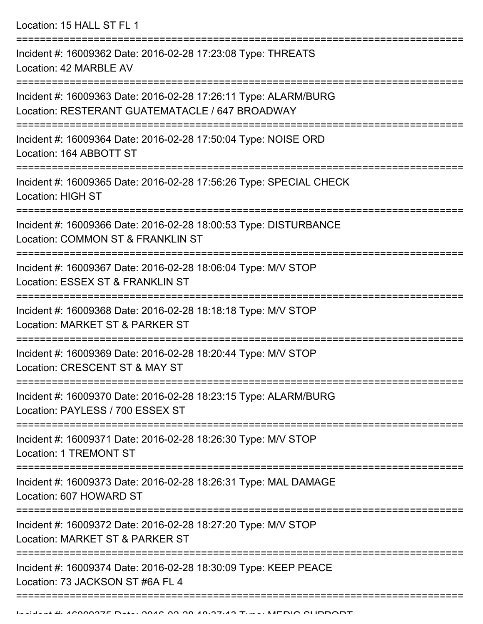Location: 15 HALL ST FL 1

| Incident #: 16009362 Date: 2016-02-28 17:23:08 Type: THREATS<br>Location: 42 MARBLE AV                             |
|--------------------------------------------------------------------------------------------------------------------|
| Incident #: 16009363 Date: 2016-02-28 17:26:11 Type: ALARM/BURG<br>Location: RESTERANT GUATEMATACLE / 647 BROADWAY |
| Incident #: 16009364 Date: 2016-02-28 17:50:04 Type: NOISE ORD<br>Location: 164 ABBOTT ST                          |
| Incident #: 16009365 Date: 2016-02-28 17:56:26 Type: SPECIAL CHECK<br><b>Location: HIGH ST</b>                     |
| Incident #: 16009366 Date: 2016-02-28 18:00:53 Type: DISTURBANCE<br>Location: COMMON ST & FRANKLIN ST              |
| Incident #: 16009367 Date: 2016-02-28 18:06:04 Type: M/V STOP<br>Location: ESSEX ST & FRANKLIN ST                  |
| Incident #: 16009368 Date: 2016-02-28 18:18:18 Type: M/V STOP<br>Location: MARKET ST & PARKER ST                   |
| Incident #: 16009369 Date: 2016-02-28 18:20:44 Type: M/V STOP<br>Location: CRESCENT ST & MAY ST                    |
| Incident #: 16009370 Date: 2016-02-28 18:23:15 Type: ALARM/BURG<br>Location: PAYLESS / 700 ESSEX ST                |
| Incident #: 16009371 Date: 2016-02-28 18:26:30 Type: M/V STOP<br><b>Location: 1 TREMONT ST</b>                     |
| Incident #: 16009373 Date: 2016-02-28 18:26:31 Type: MAL DAMAGE<br>Location: 607 HOWARD ST                         |
| Incident #: 16009372 Date: 2016-02-28 18:27:20 Type: M/V STOP<br>Location: MARKET ST & PARKER ST                   |
| Incident #: 16009374 Date: 2016-02-28 18:30:09 Type: KEEP PEACE<br>Location: 73 JACKSON ST #6A FL 4                |
|                                                                                                                    |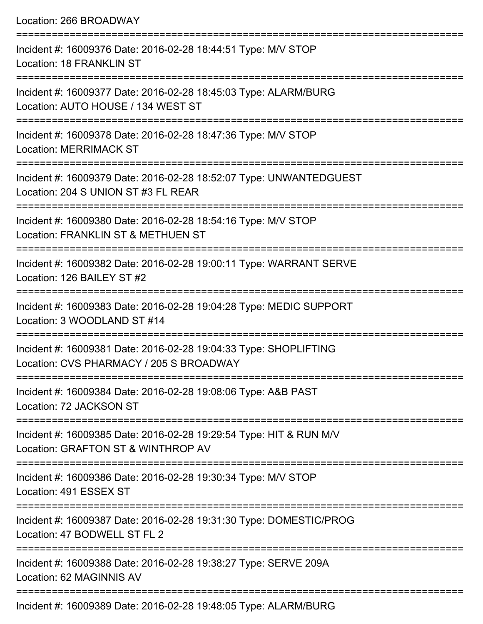| Location: 266 BROADWAY<br>===============                                                                                           |
|-------------------------------------------------------------------------------------------------------------------------------------|
| Incident #: 16009376 Date: 2016-02-28 18:44:51 Type: M/V STOP<br><b>Location: 18 FRANKLIN ST</b>                                    |
| Incident #: 16009377 Date: 2016-02-28 18:45:03 Type: ALARM/BURG<br>Location: AUTO HOUSE / 134 WEST ST<br>========================== |
| Incident #: 16009378 Date: 2016-02-28 18:47:36 Type: M/V STOP<br><b>Location: MERRIMACK ST</b>                                      |
| Incident #: 16009379 Date: 2016-02-28 18:52:07 Type: UNWANTEDGUEST<br>Location: 204 S UNION ST #3 FL REAR                           |
| Incident #: 16009380 Date: 2016-02-28 18:54:16 Type: M/V STOP<br>Location: FRANKLIN ST & METHUEN ST                                 |
| Incident #: 16009382 Date: 2016-02-28 19:00:11 Type: WARRANT SERVE<br>Location: 126 BAILEY ST #2                                    |
| Incident #: 16009383 Date: 2016-02-28 19:04:28 Type: MEDIC SUPPORT<br>Location: 3 WOODLAND ST #14                                   |
| Incident #: 16009381 Date: 2016-02-28 19:04:33 Type: SHOPLIFTING<br>Location: CVS PHARMACY / 205 S BROADWAY                         |
| Incident #: 16009384 Date: 2016-02-28 19:08:06 Type: A&B PAST<br>Location: 72 JACKSON ST                                            |
| Incident #: 16009385 Date: 2016-02-28 19:29:54 Type: HIT & RUN M/V<br>Location: GRAFTON ST & WINTHROP AV                            |
| Incident #: 16009386 Date: 2016-02-28 19:30:34 Type: M/V STOP<br>Location: 491 ESSEX ST                                             |
| Incident #: 16009387 Date: 2016-02-28 19:31:30 Type: DOMESTIC/PROG<br>Location: 47 BODWELL ST FL 2                                  |
| Incident #: 16009388 Date: 2016-02-28 19:38:27 Type: SERVE 209A<br>Location: 62 MAGINNIS AV                                         |
|                                                                                                                                     |

Incident #: 16009389 Date: 2016-02-28 19:48:05 Type: ALARM/BURG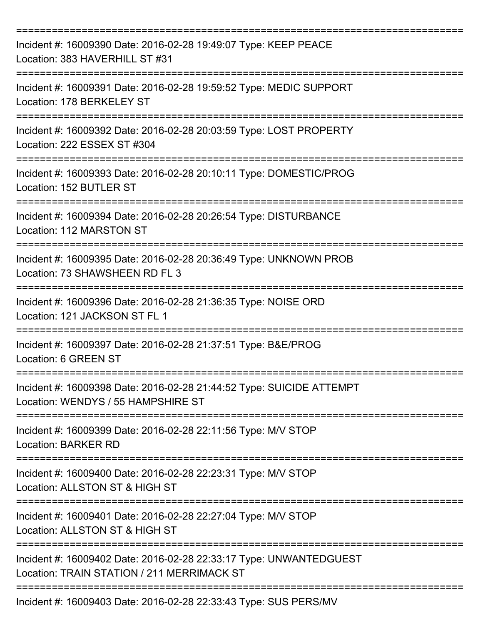| Incident #: 16009390 Date: 2016-02-28 19:49:07 Type: KEEP PEACE<br>Location: 383 HAVERHILL ST #31                |
|------------------------------------------------------------------------------------------------------------------|
| Incident #: 16009391 Date: 2016-02-28 19:59:52 Type: MEDIC SUPPORT<br>Location: 178 BERKELEY ST                  |
| Incident #: 16009392 Date: 2016-02-28 20:03:59 Type: LOST PROPERTY<br>Location: 222 ESSEX ST #304                |
| Incident #: 16009393 Date: 2016-02-28 20:10:11 Type: DOMESTIC/PROG<br>Location: 152 BUTLER ST                    |
| Incident #: 16009394 Date: 2016-02-28 20:26:54 Type: DISTURBANCE<br>Location: 112 MARSTON ST                     |
| Incident #: 16009395 Date: 2016-02-28 20:36:49 Type: UNKNOWN PROB<br>Location: 73 SHAWSHEEN RD FL 3              |
| Incident #: 16009396 Date: 2016-02-28 21:36:35 Type: NOISE ORD<br>Location: 121 JACKSON ST FL 1                  |
| Incident #: 16009397 Date: 2016-02-28 21:37:51 Type: B&E/PROG<br>Location: 6 GREEN ST                            |
| Incident #: 16009398 Date: 2016-02-28 21:44:52 Type: SUICIDE ATTEMPT<br>Location: WENDYS / 55 HAMPSHIRE ST       |
| Incident #: 16009399 Date: 2016-02-28 22:11:56 Type: M/V STOP<br><b>Location: BARKER RD</b>                      |
| Incident #: 16009400 Date: 2016-02-28 22:23:31 Type: M/V STOP<br>Location: ALLSTON ST & HIGH ST                  |
| Incident #: 16009401 Date: 2016-02-28 22:27:04 Type: M/V STOP<br>Location: ALLSTON ST & HIGH ST                  |
| Incident #: 16009402 Date: 2016-02-28 22:33:17 Type: UNWANTEDGUEST<br>Location: TRAIN STATION / 211 MERRIMACK ST |
| Incident #: 16009403 Date: 2016-02-28 22:33:43 Type: SUS PERS/MV                                                 |